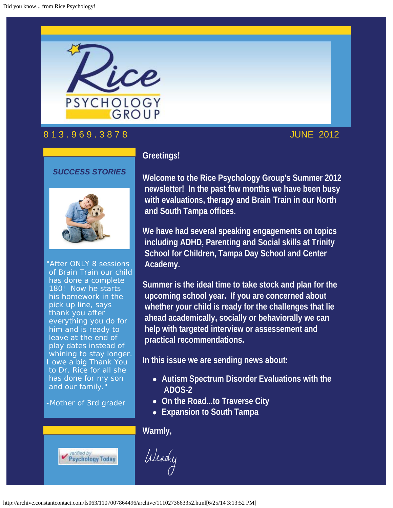

# 8 1 3 . 9 6 9 . 3 8 7 8 JUNE 2012

*SUCCESS STORIES*



"After ONLY 8 sessions of Brain Train our child has done a complete 180! Now he starts his homework in the pick up line, says thank you after everything you do for him and is ready to leave at the end of play dates instead of whining to stay longer. I owe a big Thank You to Dr. Rice for all she has done for my son and our family."

-Mother of 3rd grader



# **Greetings!**

**Welcome to the Rice Psychology Group's Summer 2012 newsletter! In the past few months we have been busy with evaluations, therapy and Brain Train in our North and South Tampa offices.** 

**We have had several speaking engagements on topics including ADHD, Parenting and Social skills at Trinity School for Children, Tampa Day School and Center Academy.** 

**Summer is the ideal time to take stock and plan for the upcoming school year. If you are concerned about whether your child is ready for the challenges that lie ahead academically, socially or behaviorally we can help with targeted interview or assessement and practical recommendations.**

**In this issue we are sending news about:**

- **Autism Spectrum Disorder Evaluations with the ADOS-2**
- **On the Road...to Traverse City**
- **Expansion to South Tampa**

### **Warmly,**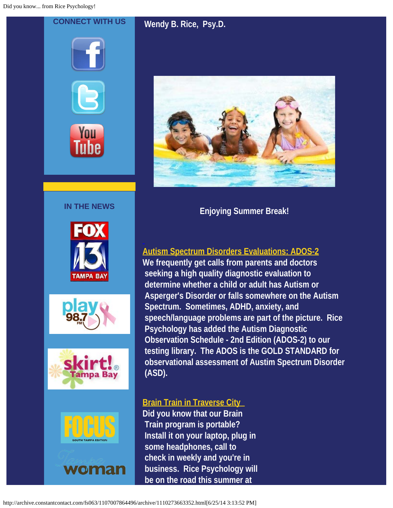**CONNECT WITH US**

**IN THE NEWS**

ampa Bay

woman

# **Wendy B. Rice, Psy.D.**



**Enjoying Summer Break!**

# **Autism Spectrum Disorders Evaluations: ADOS-2**

**We frequently get calls from parents and doctors seeking a high quality diagnostic evaluation to determine whether a child or adult has Autism or Asperger's Disorder or falls somewhere on the Autism Spectrum. Sometimes, ADHD, anxiety, and speech/language problems are part of the picture. Rice Psychology has added the Autism Diagnostic Observation Schedule - 2nd Edition (ADOS-2) to our testing library. The ADOS is the GOLD STANDARD for observational assessment of Austim Spectrum Disorder (ASD).**

# **Brain Train in Traverse City**

**Did you know that our Brain Train program is portable? Install it on your laptop, plug in some headphones, call to check in weekly and you're in business. Rice Psychology will be on the road this summer at**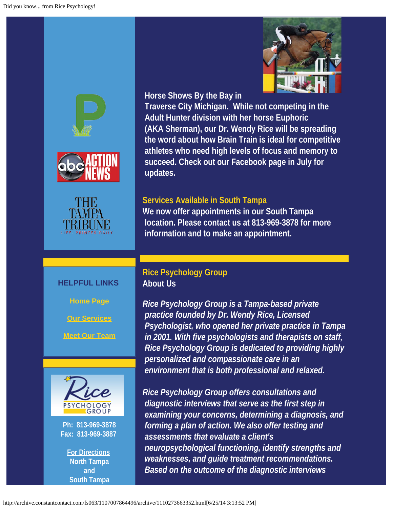





#### **HELPFUL LINKS**

**[Home Page](http://ricepsychology.com/?utm_source=June+2012+RPG+Newsletter&utm_campaign=June+2012+Newsletter&utm_medium=archive)**

**[Our Services](http://ricepsychology.com/how.php?utm_source=June+2012+RPG+Newsletter&utm_campaign=June+2012+Newsletter&utm_medium=archive)**

**[Meet Our Team](http://ricepsychology.com/who.php?utm_source=June+2012+RPG+Newsletter&utm_campaign=June+2012+Newsletter&utm_medium=archive)**



**Ph: 813-969-3878 Fax: 813-969-3887**

**[For Directions](http://ricepsychology.com/location.php?utm_source=June+2012+RPG+Newsletter&utm_campaign=June+2012+Newsletter&utm_medium=archive) North Tampa and South Tampa**



#### **Horse Shows By the Bay in**

 **Traverse City Michigan. While not competing in the Adult Hunter division with her horse Euphoric (AKA Sherman), our Dr. Wendy Rice will be spreading the word about how Brain Train is ideal for competitive athletes who need high levels of focus and memory to succeed. Check out our Facebook page in July for updates.**

#### **Services Available in South Tampa**

**We now offer appointments in our South Tampa location. Please contact us at 813-969-3878 for more information and to make an appointment.**

### **Rice Psychology Group About Us**

*Rice Psychology Group is a Tampa-based private practice founded by Dr. Wendy Rice, Licensed Psychologist, who opened her private practice in Tampa in 2001. With five psychologists and therapists on staff, Rice Psychology Group is dedicated to providing highly personalized and compassionate care in an environment that is both professional and relaxed.*

*Rice Psychology Group offers consultations and diagnostic interviews that serve as the first step in examining your concerns, determining a diagnosis, and forming a plan of action. We also offer testing and assessments that evaluate a client's neuropsychological functioning, identify strengths and weaknesses, and guide treatment recommendations. Based on the outcome of the diagnostic interviews*